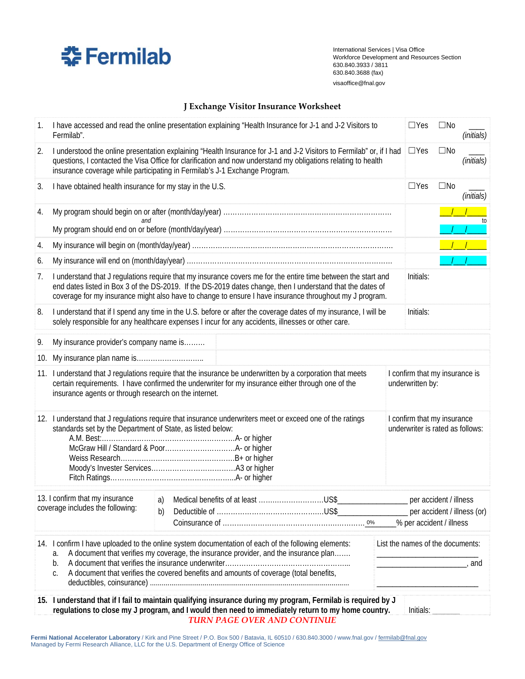

International Services | Visa Office Workforce Development and Resources Section 630.840.3933 / 3811 630.840.3688 (fax) visaoffice@fnal.gov

## **J Exchange Visitor Insurance Worksheet**

| 1.  | I have accessed and read the online presentation explaining "Health Insurance for J-1 and J-2 Visitors to<br>Fermilab".                                                                                                                                                                                                                |    |                                                                                                                                                                                                                                                                                       |  |           | $\Box$ Yes                                                      | $\square$ No           | (initials) |
|-----|----------------------------------------------------------------------------------------------------------------------------------------------------------------------------------------------------------------------------------------------------------------------------------------------------------------------------------------|----|---------------------------------------------------------------------------------------------------------------------------------------------------------------------------------------------------------------------------------------------------------------------------------------|--|-----------|-----------------------------------------------------------------|------------------------|------------|
| 2.  | I understood the online presentation explaining "Health Insurance for J-1 and J-2 Visitors to Fermilab" or, if I had<br>questions, I contacted the Visa Office for clarification and now understand my obligations relating to health<br>insurance coverage while participating in Fermilab's J-1 Exchange Program.                    |    |                                                                                                                                                                                                                                                                                       |  |           | $\Box$ Yes                                                      | $\square$ No           | (initials) |
| 3.  | I have obtained health insurance for my stay in the U.S.                                                                                                                                                                                                                                                                               |    |                                                                                                                                                                                                                                                                                       |  |           | $\Box$ Yes                                                      | $\square$ No           | (initials) |
| 4.  |                                                                                                                                                                                                                                                                                                                                        |    |                                                                                                                                                                                                                                                                                       |  |           |                                                                 |                        |            |
|     | and                                                                                                                                                                                                                                                                                                                                    |    |                                                                                                                                                                                                                                                                                       |  |           |                                                                 |                        | to         |
| 4.  |                                                                                                                                                                                                                                                                                                                                        |    |                                                                                                                                                                                                                                                                                       |  |           |                                                                 |                        |            |
| 6.  |                                                                                                                                                                                                                                                                                                                                        |    |                                                                                                                                                                                                                                                                                       |  |           |                                                                 |                        |            |
| 7.  | I understand that J regulations require that my insurance covers me for the entire time between the start and<br>end dates listed in Box 3 of the DS-2019. If the DS-2019 dates change, then I understand that the dates of<br>coverage for my insurance might also have to change to ensure I have insurance throughout my J program. |    |                                                                                                                                                                                                                                                                                       |  |           | Initials:                                                       |                        |            |
| 8.  | I understand that if I spend any time in the U.S. before or after the coverage dates of my insurance, I will be<br>solely responsible for any healthcare expenses I incur for any accidents, illnesses or other care.                                                                                                                  |    |                                                                                                                                                                                                                                                                                       |  | Initials: |                                                                 |                        |            |
| 9.  | My insurance provider's company name is                                                                                                                                                                                                                                                                                                |    |                                                                                                                                                                                                                                                                                       |  |           |                                                                 |                        |            |
| 10. |                                                                                                                                                                                                                                                                                                                                        |    |                                                                                                                                                                                                                                                                                       |  |           |                                                                 |                        |            |
|     | 11. I understand that J regulations require that the insurance be underwritten by a corporation that meets<br>certain requirements. I have confirmed the underwriter for my insurance either through one of the<br>insurance agents or through research on the internet.                                                               |    |                                                                                                                                                                                                                                                                                       |  |           | I confirm that my insurance is<br>underwritten by:              |                        |            |
|     | 12. I understand that J regulations require that insurance underwriters meet or exceed one of the ratings<br>standards set by the Department of State, as listed below:                                                                                                                                                                |    |                                                                                                                                                                                                                                                                                       |  |           | I confirm that my insurance<br>underwriter is rated as follows: |                        |            |
|     | 13. I confirm that my insurance<br>coverage includes the following:                                                                                                                                                                                                                                                                    | b) | a) Medical benefits of at least US\$                                                                                                                                                                                                                                                  |  |           | % per accident / illness                                        | per accident / illness |            |
|     | а.<br>b.<br>C.                                                                                                                                                                                                                                                                                                                         |    | 14. I confirm I have uploaded to the online system documentation of each of the following elements:<br>A document that verifies my coverage, the insurance provider, and the insurance plan<br>A document that verifies the covered benefits and amounts of coverage (total benefits, |  |           | List the names of the documents:                                |                        |            |
|     |                                                                                                                                                                                                                                                                                                                                        |    | 15. I understand that if I fail to maintain qualifying insurance during my program, Fermilab is required by J<br>regulations to close my J program, and I would then need to immediately return to my home country.                                                                   |  |           | Initials:                                                       |                        |            |

*TURN PAGE OVER AND CONTINUE*

Fermi National Accelerator Laboratory / Kirk and Pine Street / P.O. Box 500 / Batavia, IL 60510 / 630.840.3000 / www.fnal.gov / fermilab@fnal.gov Managed by Fermi Research Alliance, LLC for the U.S. Department of Energy Office of Science